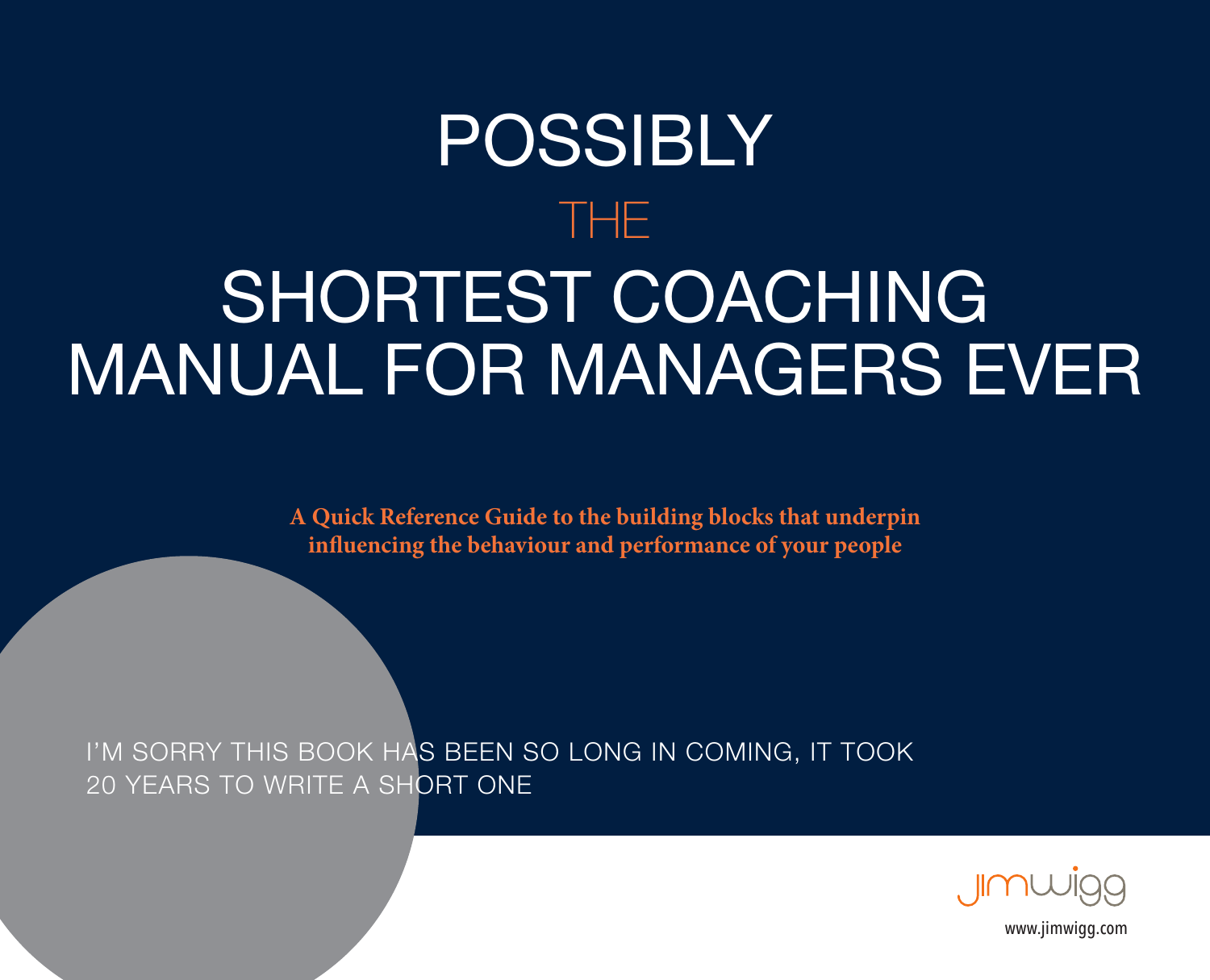# POSSIBLY THE SHORTEST COACHING MANUAL FOR MANAGERS EVER

**A Quick Reference Guide to the building blocks that underpin influencing the behaviour and performance of your people**

I'M SORRY THIS BOOK HAS BEEN SO LONG IN COMING, IT TOOK 20 YEARS TO WRITE A SHORT ONE



[www.jimwigg.com](http://www.jimwigg.com)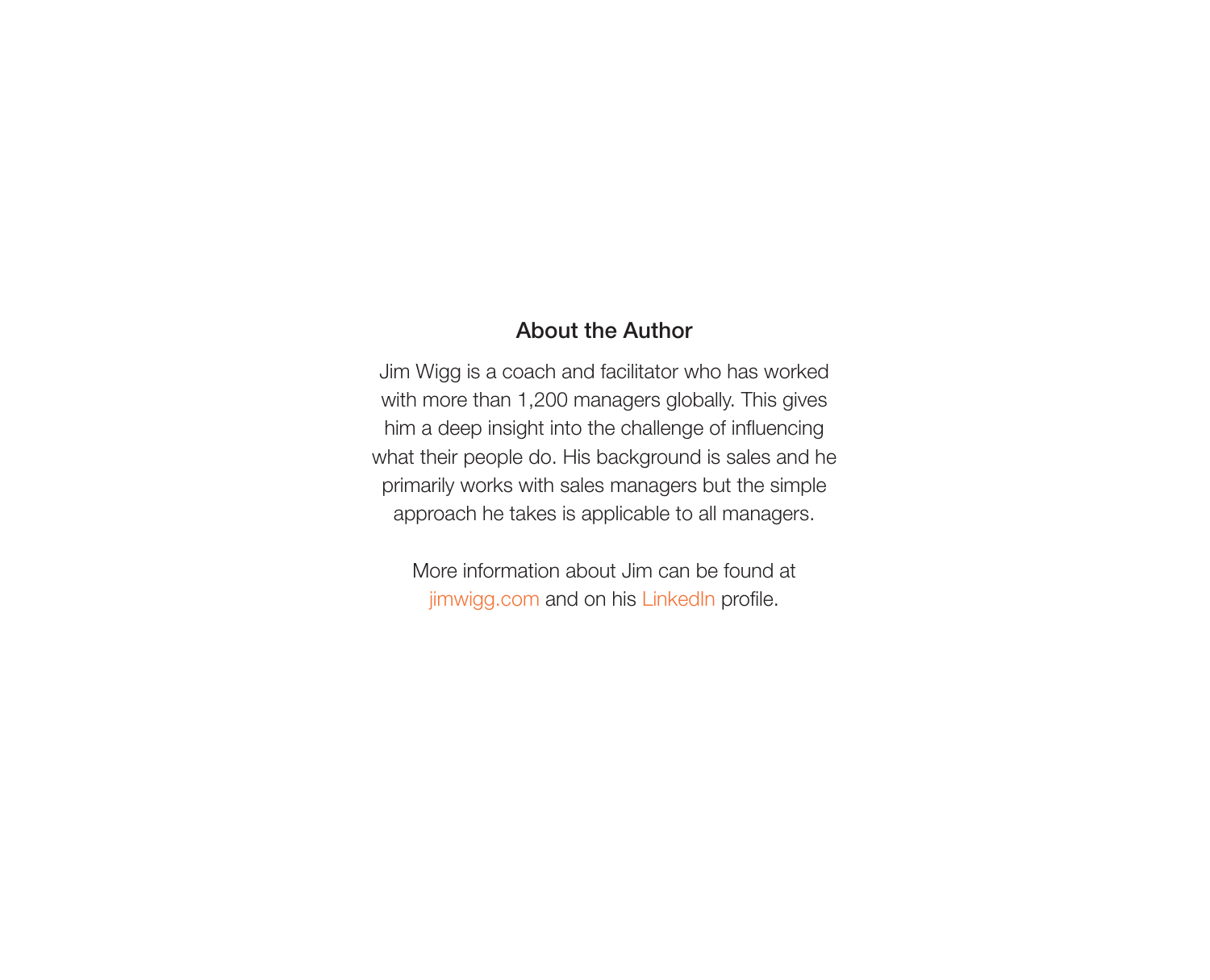#### About the Author

Jim Wigg is a coach and facilitator who has worked with more than 1,200 managers globally. This gives him a deep insight into the challenge of influencing what their people do. His background is sales and he primarily works with sales managers but the simple approach he takes is applicable to all managers.

More information about Jim can be found at [jimwigg.com](https://jimwigg.com) and on his [LinkedIn](https://www.linkedin.com/in/jimwigg/) profile.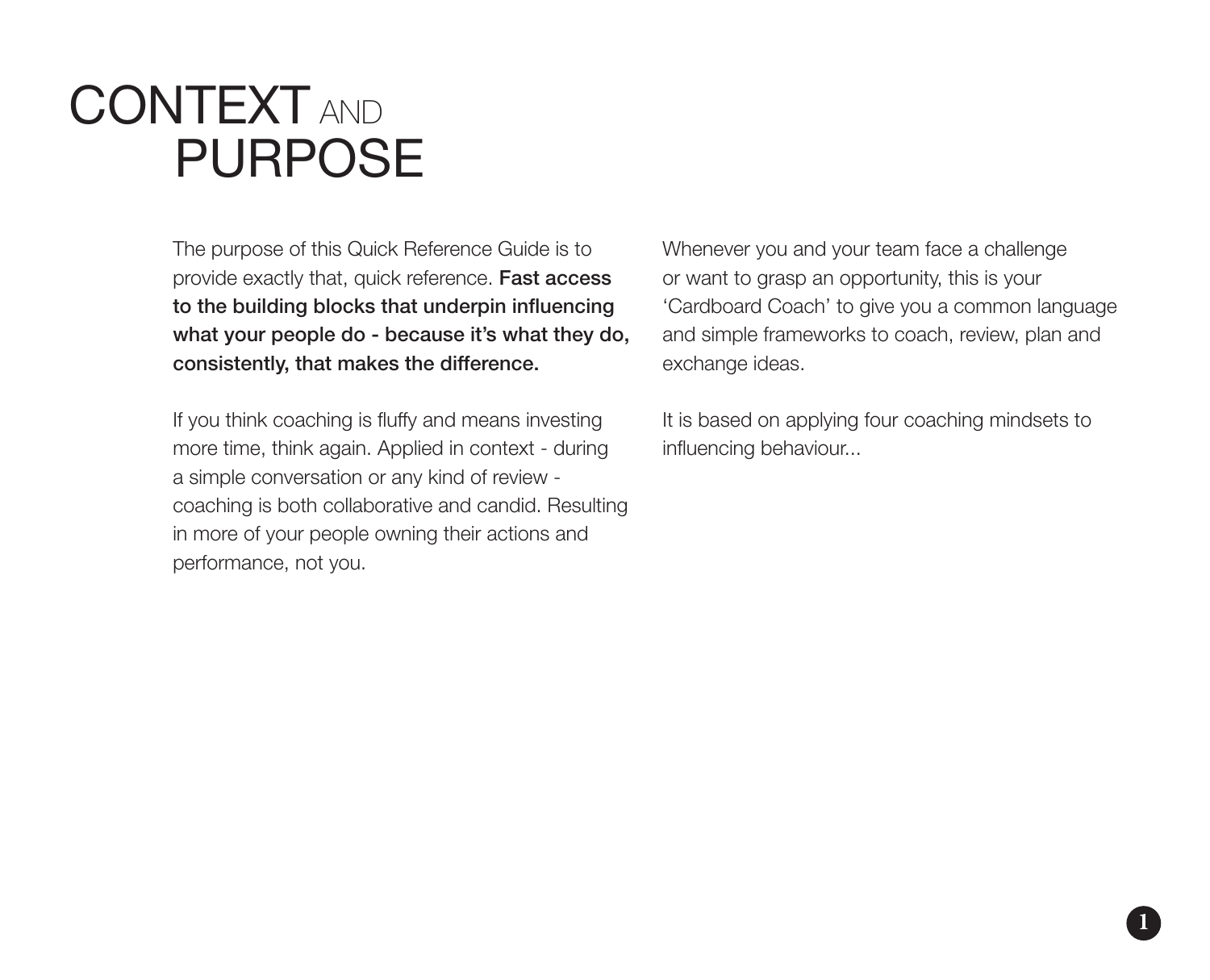## CONTEXT AND PURPOSE

The purpose of this Quick Reference Guide is to provide exactly that, quick reference. Fast access to the building blocks that underpin influencing what your people do - because it's what they do. consistently, that makes the difference.

If you think coaching is fluffy and means investing more time, think again. Applied in context - during a simple conversation or any kind of review coaching is both collaborative and candid. Resulting in more of your people owning their actions and performance, not you.

Whenever you and your team face a challenge or want to grasp an opportunity, this is your 'Cardboard Coach' to give you a common language and simple frameworks to coach, review, plan and exchange ideas.

It is based on applying four coaching mindsets to influencing behaviour...

**1**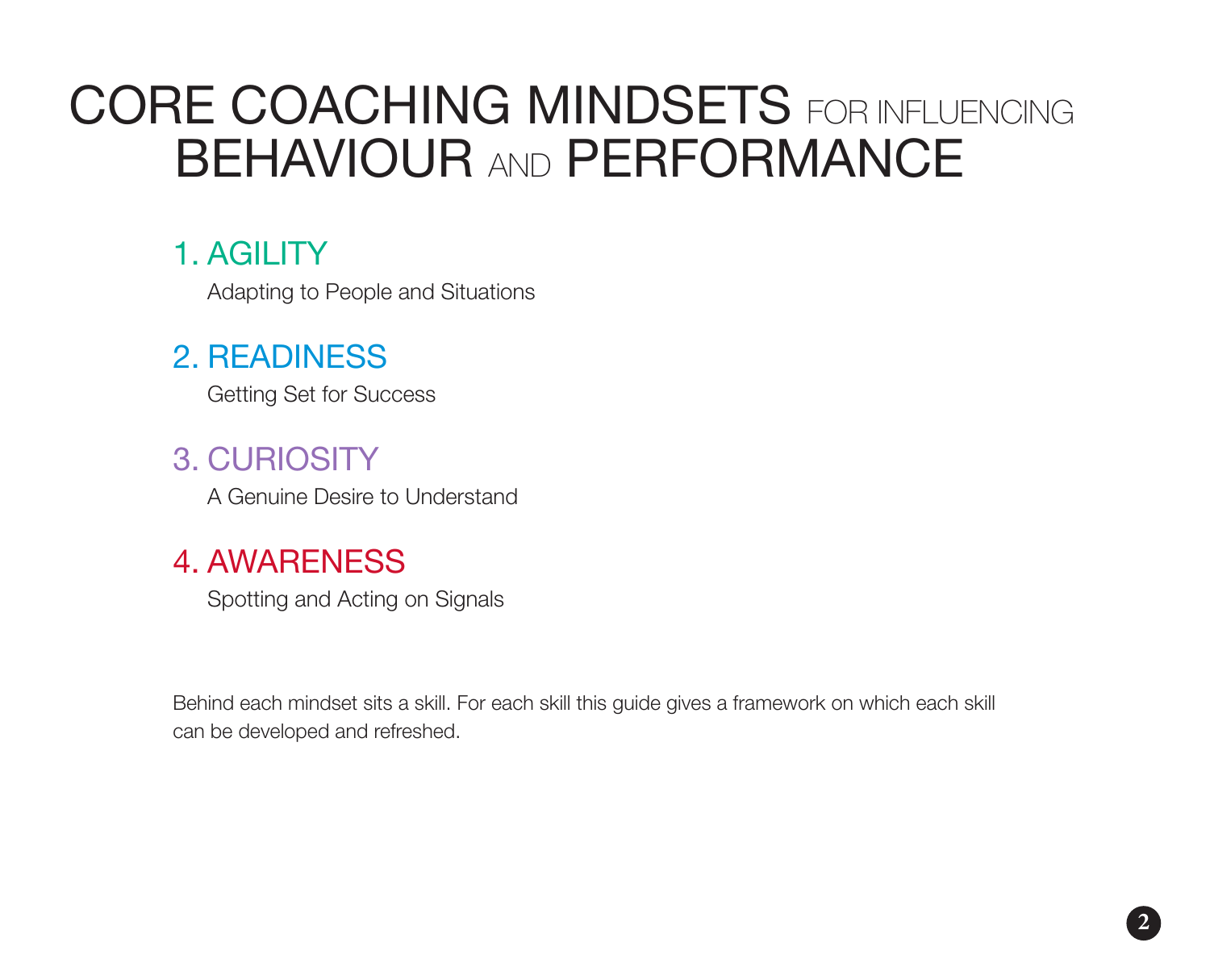## CORE COACHING MINDSETS FOR INFLUENCING BEHAVIOUR AND PERFORMANCE

### 1. AGILITY

Adapting to People and Situations

### 2. READINESS

Getting Set for Success

### 3. CURIOSITY

A Genuine Desire to Understand

### 4. AWARENESS

Spotting and Acting on Signals

Behind each mindset sits a skill. For each skill this guide gives a framework on which each skill can be developed and refreshed.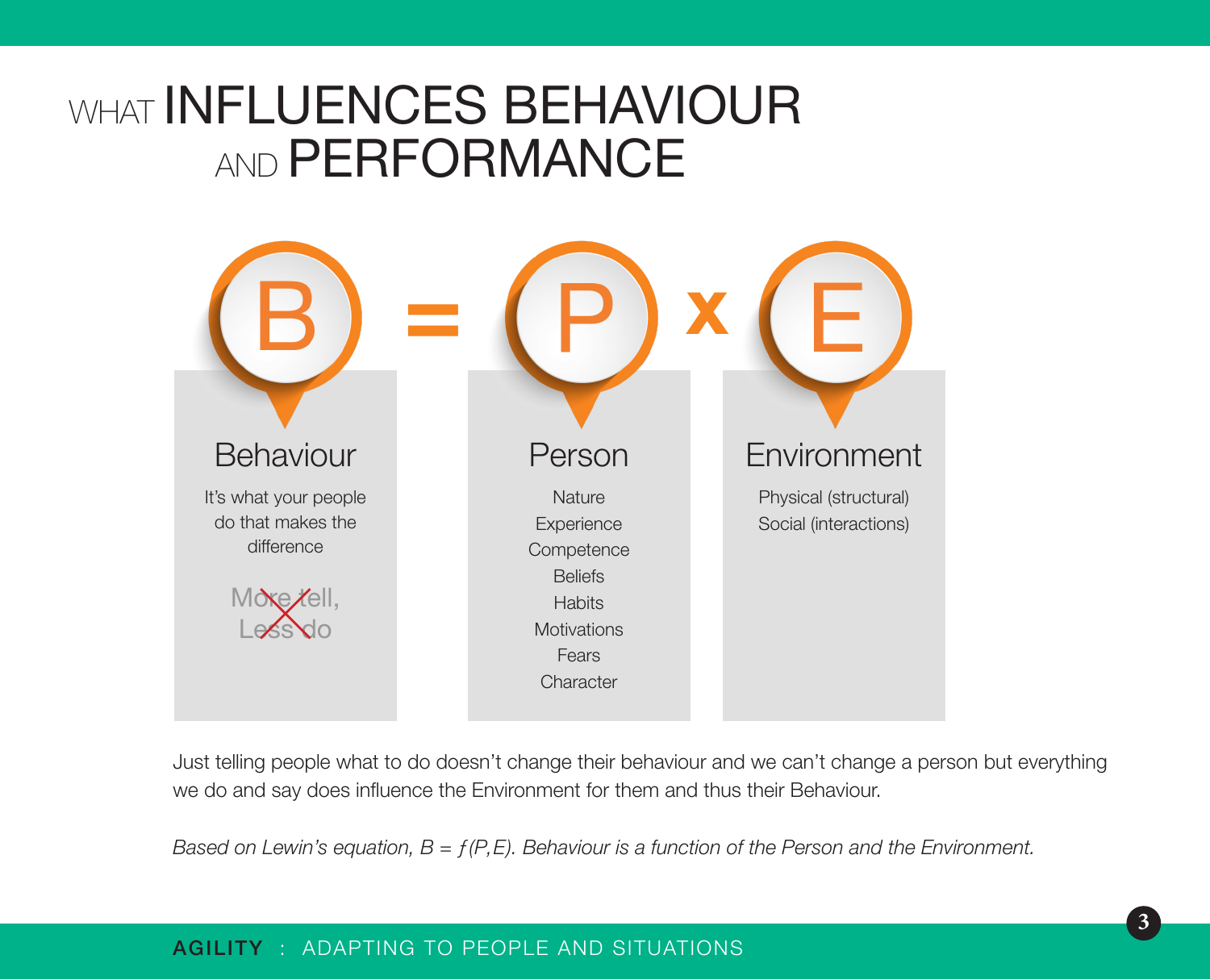### WHAT **INFLUENCES BEHAVIOUR AND PERFORMANCE**



Just telling people what to do doesn't change their behaviour and we can't change a person but everything we do and say does influence the Environment for them and thus their Behaviour.

*Based on Lewin's equation, B = ƒ(P,E). Behaviour is a function of the Person and the Environment.*

#### AGILITY : ADAPTING TO PEOPLE AND SITUATIONS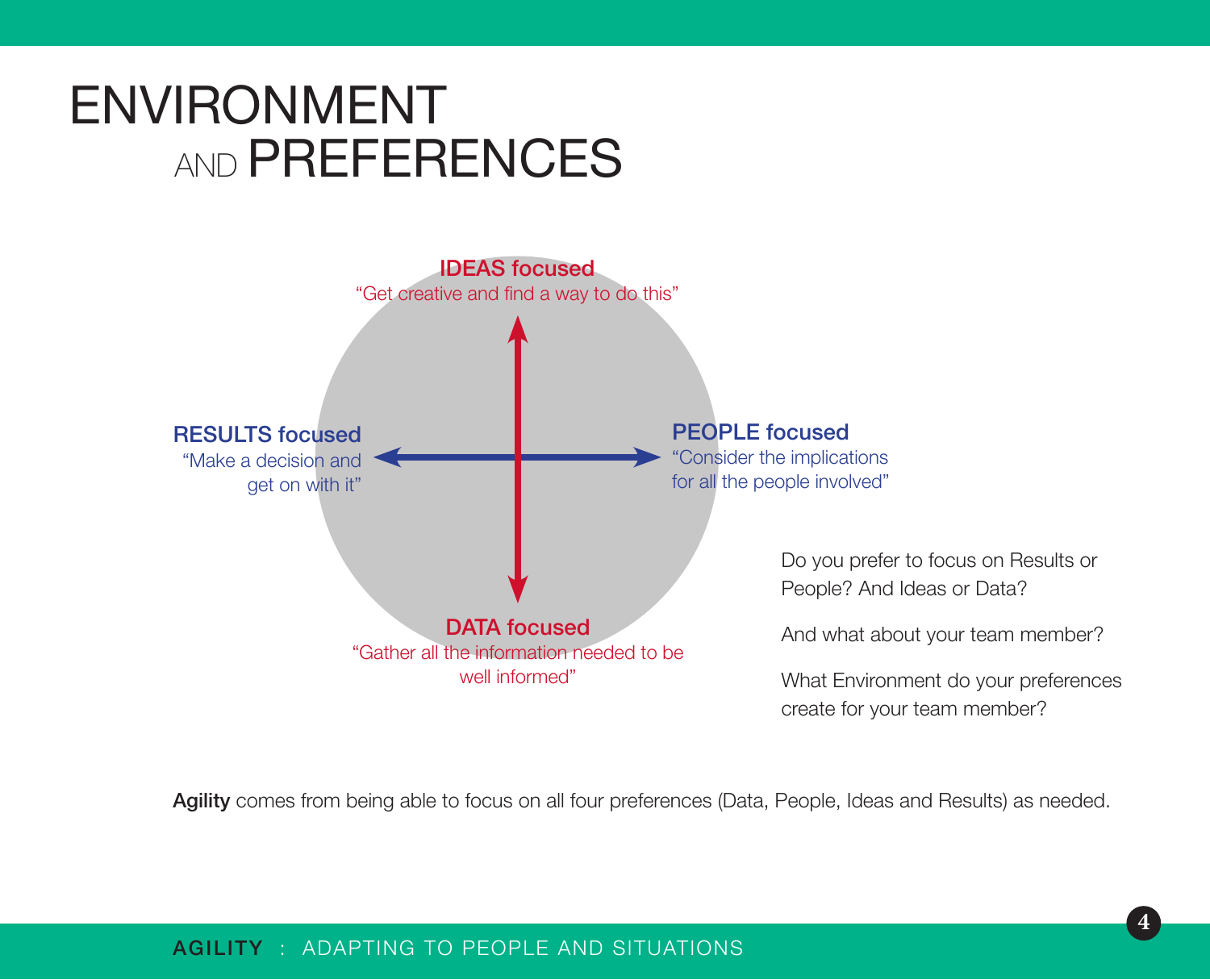## ENVIRONMENT AND **PREFERENCES**



Agility comes from being able to focus on all four preferences (Data, People, Ideas and Results) as needed.

#### AGILITY : ADAPTING TO PEOPLE AND SITUATIONS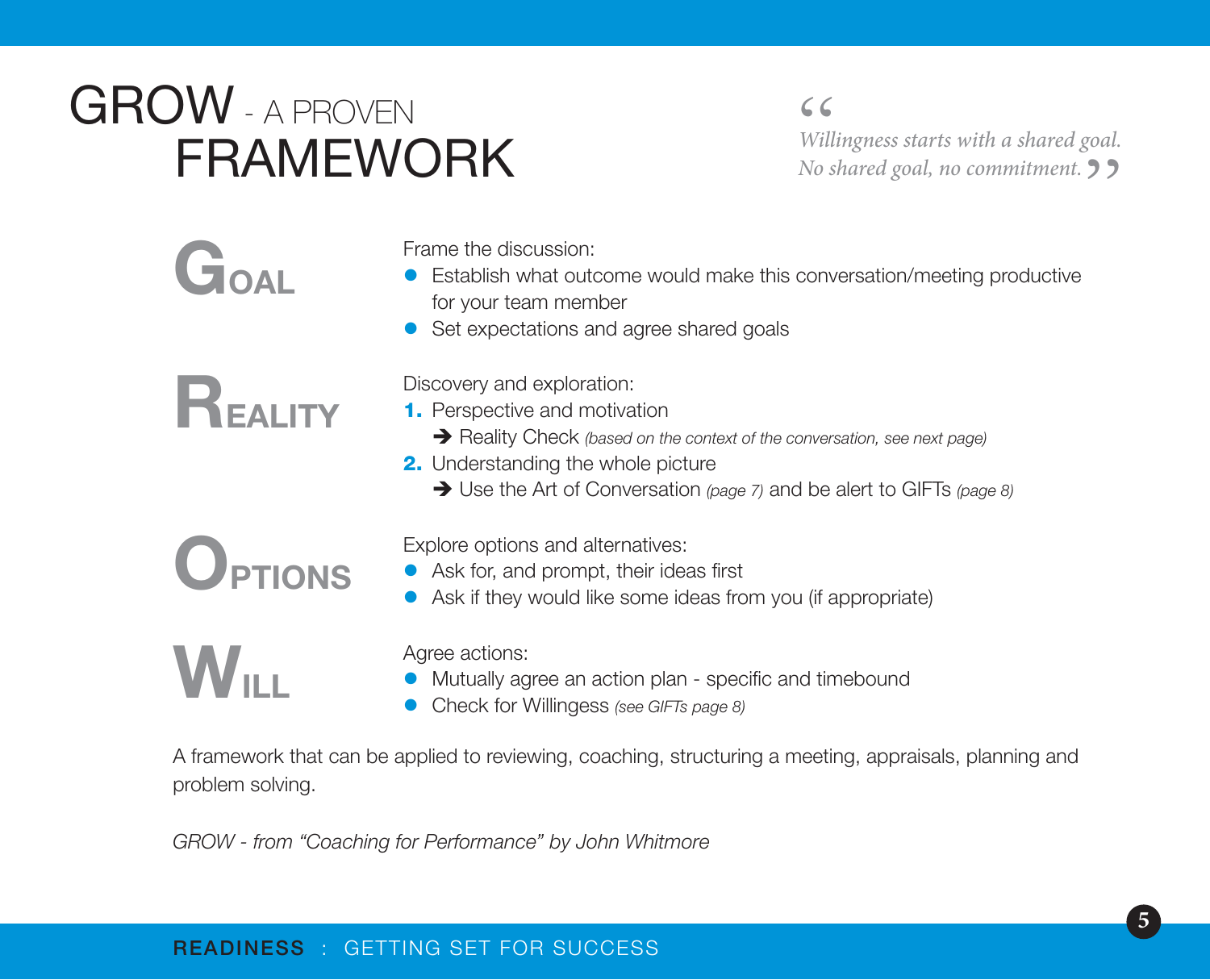## GROW - A PROVEN FRAMEWORK

" *Willingness starts with a shared goal. No shared goal, no commitment.*"

# GOAL

Frame the discussion:

- **•** Establish what outcome would make this conversation/meeting productive for your team member
- Set expectations and agree shared goals



Discovery and exploration:

- 1. Perspective and motivation
	- è Reality Check *(based on the context of the conversation, see next page)*
- 2. Understanding the whole picture
	- è Use the Art of Conversation *(page 7)* and be alert to GIFTs *(page 8)*

**OPTIONS** 

 $\mathbf{W}_{\mathbf{u}}$  .

Explore options and alternatives:

- Ask for, and prompt, their ideas first
- Ask if they would like some ideas from you (if appropriate)

Agree actions:

- **•** Mutually agree an action plan specific and timebound
- **•** Check for Willingess *(see GIFTs page 8)*

A framework that can be applied to reviewing, coaching, structuring a meeting, appraisals, planning and problem solving.

*GROW - from "Coaching for Performance" by John Whitmore*

#### READINESS : GETTING SET FOR SUCCESS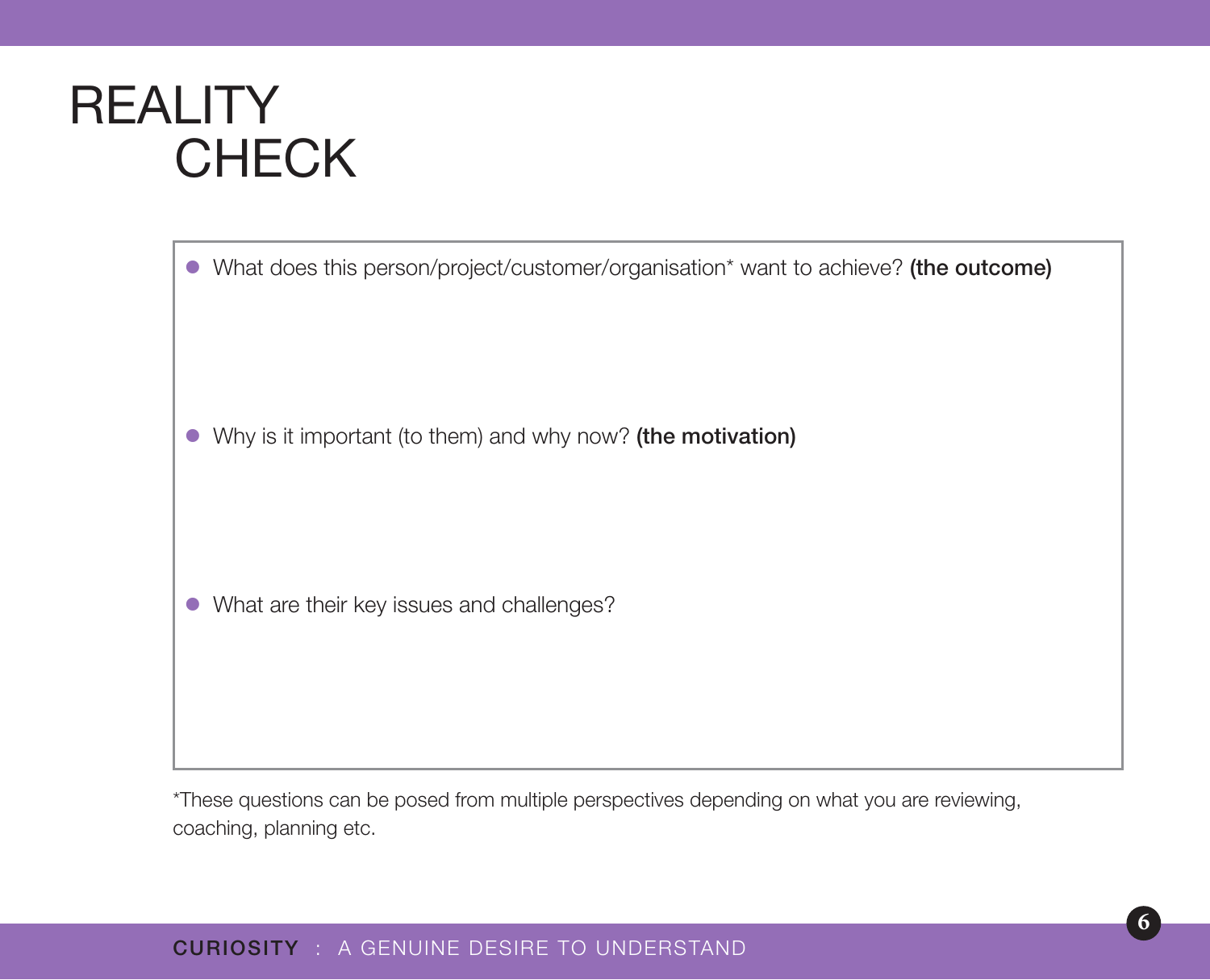### **REALITY CHECK**

• What does this person/project/customer/organisation\* want to achieve? (the outcome)

• Why is it important (to them) and why now? (the motivation)

• What are their key issues and challenges?

\*These questions can be posed from multiple perspectives depending on what you are reviewing, coaching, planning etc.

#### CURIOSITY : A GENUINE DESIRE TO UNDERSTAND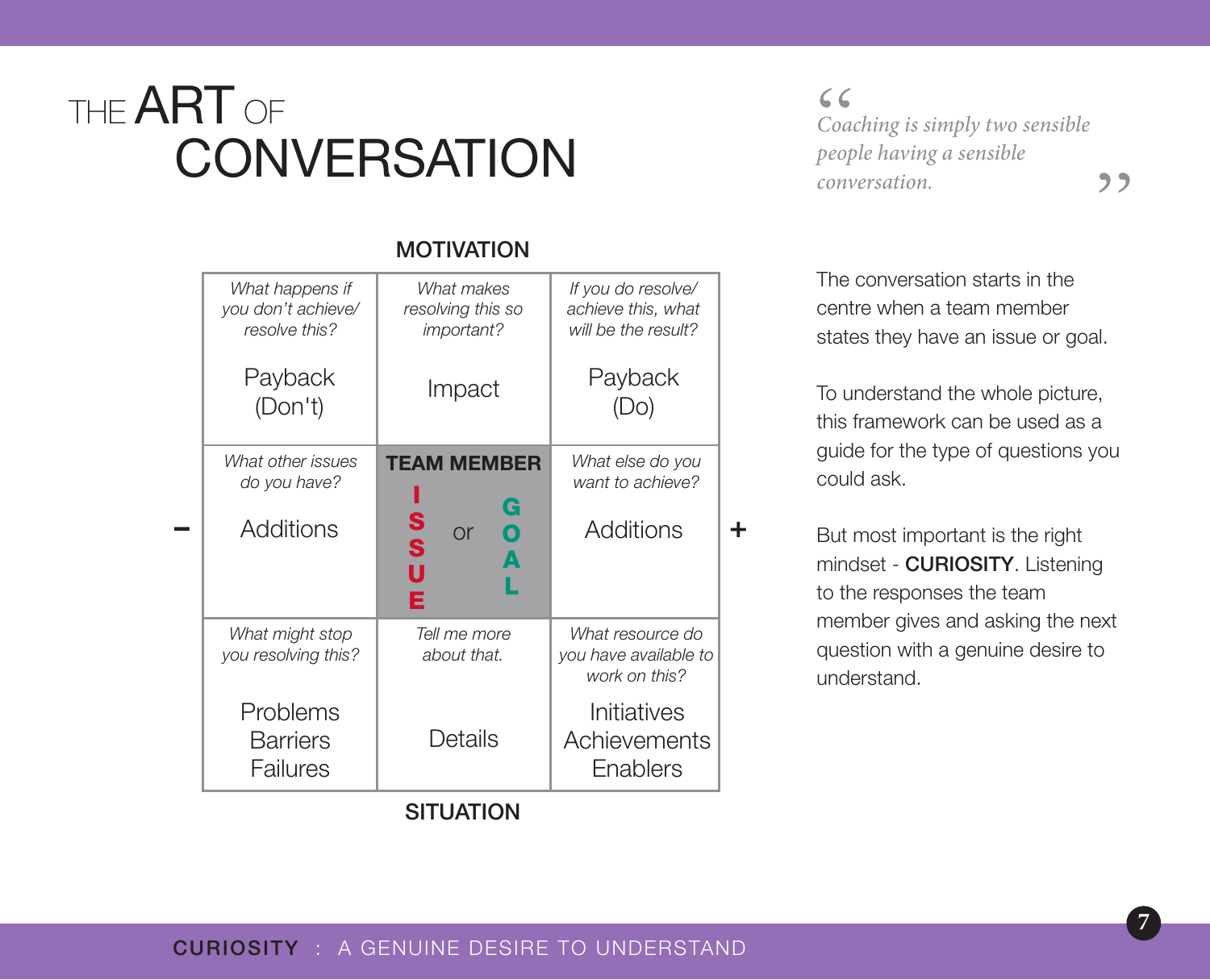## THE **ART** OF **CONVERSATION**

*What happens if you don't achieve/*

 $\begin{array}{c} 6 \\ C$ oa<br>beot *Coaching is simply two sensible people having a sensible*  **conversation.** <sup>1</sup>

The conversation starts in the centre when a team member states they have an issue or goal.

To understand the whole picture, this framework can be used as a guide for the type of questions you could ask.

But most important is the right mindset - CURIOSITY. Listening to the responses the team member gives and asking the next question with a genuine desire to understand.

|                  | resolve this?                           | <i>important?</i>                                      | will be the result?                                        |   |
|------------------|-----------------------------------------|--------------------------------------------------------|------------------------------------------------------------|---|
|                  | Payback<br>(Don't)                      | Impact                                                 | Payback<br>(Do)                                            |   |
|                  | What other issues<br>do you have?       | <b>TEAM MEMBER</b>                                     | What else do you<br>want to achieve?                       |   |
|                  | <b>Additions</b>                        | G<br>S<br>S<br>$\mathbf 0$<br><b>or</b><br>A<br>U<br>Е | Additions                                                  | ╋ |
|                  | What might stop<br>you resolving this?  | Tell me more<br>about that.                            | What resource do<br>you have available to<br>work on this? |   |
|                  | Problems<br><b>Barriers</b><br>Failures | Details                                                | Initiatives<br>Achievements<br>Enablers                    |   |
| <b>SITUATION</b> |                                         |                                                        |                                                            |   |
|                  |                                         |                                                        |                                                            |   |

#### MOTIVATION *What makes*

*resolving this so* 

*If you do resolve/ achieve this, what* 

#### CURIOSITY : A GENUINE DESIRE TO UNDERSTAND